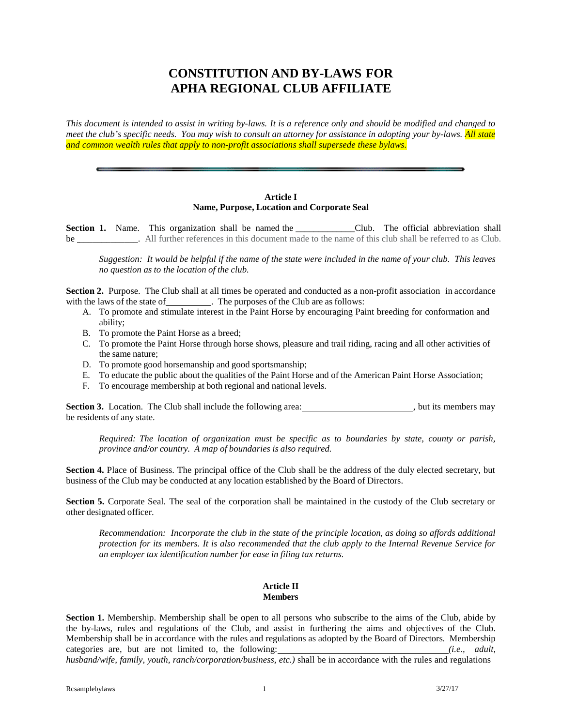# **CONSTITUTION AND BY-LAWS FOR APHA REGIONAL CLUB AFFILIATE**

This document is intended to assist in writing by-laws. It is a reference only and should be modified and changed to meet the club's specific needs. You may wish to consult an attorney for assistance in adopting your by-laws. All state *and common wealth rules that apply to non-profit associations shall supersede these bylaws.*

### **Article I Name, Purpose, Location and Corporate Seal**

Section 1. Name. This organization shall be named the \_\_\_\_\_\_\_\_\_\_\_\_\_\_Club. The official abbreviation shall be \_\_\_\_\_\_\_\_\_\_\_. All further references in this document made to the name of this club shall be referred to as Club.

Suggestion: It would be helpful if the name of the state were included in the name of your club. This leaves *no question as to the location of the club.*

**Section 2.** Purpose. The Club shall at all times be operated and conducted as a non-profit association in accordance with the laws of the state of \_\_\_\_\_\_\_\_\_\_. The purposes of the Club are as follows:

- A. To promote and stimulate interest in the Paint Horse by encouraging Paint breeding for conformation and ability;
- B. To promote the Paint Horse as a breed;
- C. To promote the Paint Horse through horse shows, pleasure and trail riding, racing and all other activities of the same nature;
- D. To promote good horsemanship and good sportsmanship;
- E. To educate the public about the qualities of the Paint Horse and of the American Paint Horse Association;
- F. To encourage membership at both regional and national levels.

**Section 3.** Location. The Club shall include the following area: , but its members may be residents of any state.

*Required: The location of organization must be specific as to boundaries by state, county or parish, province and/or country. A map of boundaries is also required.*

**Section 4.** Place of Business. The principal office of the Club shall be the address of the duly elected secretary, but business of the Club may be conducted at any location established by the Board of Directors.

**Section 5.** Corporate Seal. The seal of the corporation shall be maintained in the custody of the Club secretary or other designated officer.

*Recommendation: Incorporate the club in the state of the principle location, as doing so affords additional* protection for its members. It is also recommended that the club apply to the Internal Revenue Service for *an employer tax identification number for ease in filing tax returns.*

## **Article II Members**

**Section 1.** Membership. Membership shall be open to all persons who subscribe to the aims of the Club, abide by the by-laws, rules and regulations of the Club, and assist in furthering the aims and objectives of the Club. Membership shall be in accordance with the rules and regulations as adopted by the Board of Directors. Membership categories are, but are not limited to, the following: *(i.e., adult,*

*husband/wife, family, youth, ranch/corporation/business, etc.)* shall be in accordance with the rules and regulations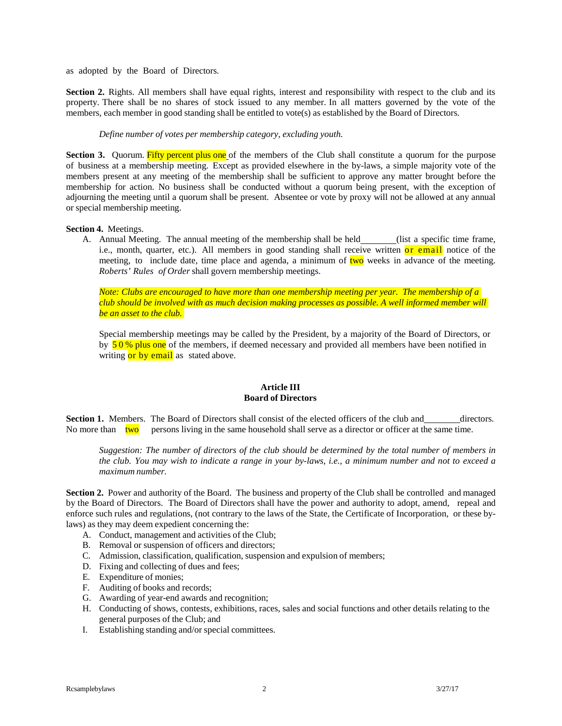as adopted by the Board of Directors.

**Section 2.** Rights. All members shall have equal rights, interest and responsibility with respect to the club and its property. There shall be no shares of stock issued to any member. In all matters governed by the vote of the members, each member in good standing shall be entitled to vote(s) as established by the Board of Directors.

#### *Define number of votes per membership category, excluding youth.*

**Section 3.** Quorum. Fifty percent plus one of the members of the Club shall constitute a quorum for the purpose of business at a membership meeting. Except as provided elsewhere in the by-laws, a simple majority vote of the members present at any meeting of the membership shall be sufficient to approve any matter brought before the membership for action. No business shall be conducted without a quorum being present, with the exception of adjourning the meeting until a quorum shall be present. Absentee or vote by proxy will not be allowed at any annual or special membership meeting.

#### **Section 4.** Meetings.

A. Annual Meeting. The annual meeting of the membership shall be held (list a specific time frame, i.e., month, quarter, etc.). All members in good standing shall receive written or email notice of the meeting, to include date, time place and agenda, a minimum of two weeks in advance of the meeting. *Roberts' Rules of Order* shall govern membership meetings.

*Note: Clubs are encouraged to have more than one membership meeting per year. The membership of a club should be involved with as much decision making processes as possible. A well informed member will be an asset to the club.* 

Special membership meetings may be called by the President, by a majority of the Board of Directors, or by  $50\%$  plus one of the members, if deemed necessary and provided all members have been notified in writing or by email as stated above.

#### **Article III Board of Directors**

**Section 1.** Members. The Board of Directors shall consist of the elected officers of the club and directors. No more than  $two$  persons living in the same household shall serve as a director or officer at the same time.

Suggestion: The number of directors of the club should be determined by the total number of members in the club. You may wish to indicate a range in your by-laws, i.e., a minimum number and not to exceed a *maximum number.*

**Section 2.** Power and authority of the Board. The business and property of the Club shall be controlled and managed by the Board of Directors. The Board of Directors shall have the power and authority to adopt, amend, repeal and enforce such rules and regulations, (not contrary to the laws of the State, the Certificate of Incorporation, or these bylaws) as they may deem expedient concerning the:

- A. Conduct, management and activities of the Club;
- B. Removal or suspension of officers and directors;
- C. Admission, classification, qualification, suspension and expulsion of members;
- D. Fixing and collecting of dues and fees;
- E. Expenditure of monies;
- F. Auditing of books and records;
- G. Awarding of year-end awards and recognition;
- H. Conducting of shows, contests, exhibitions, races, sales and social functions and other details relating to the general purposes of the Club; and
- I. Establishing standing and/or special committees.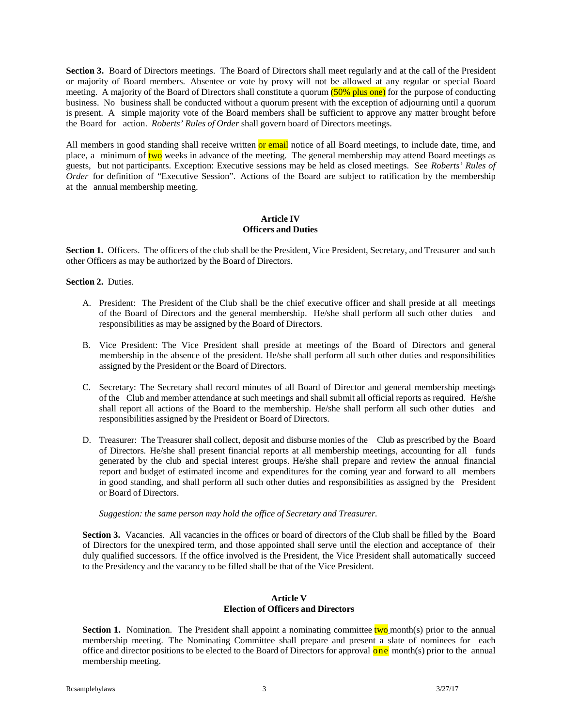**Section 3.** Board of Directors meetings. The Board of Directors shall meet regularly and at the call of the President or majority of Board members. Absentee or vote by proxy will not be allowed at any regular or special Board meeting. A majority of the Board of Directors shall constitute a quorum (50% plus one) for the purpose of conducting business. No business shall be conducted without a quorum present with the exception of adjourning until a quorum is present. A simple majority vote of the Board members shall be sufficient to approve any matter brought before the Board for action. *Roberts' Rules of Order* shall govern board of Directors meetings.

All members in good standing shall receive written or email notice of all Board meetings, to include date, time, and place, a minimum of two weeks in advance of the meeting. The general membership may attend Board meetings as guests, but not participants. Exception: Executive sessions may be held as closed meetings. See *Roberts' Rules of Order* for definition of "Executive Session". Actions of the Board are subject to ratification by the membership at the annual membership meeting.

### **Article IV Officers and Duties**

**Section 1.** Officers. The officers of the club shall be the President, Vice President, Secretary, and Treasurer and such other Officers as may be authorized by the Board of Directors.

#### **Section 2.** Duties.

- A. President: The President of the Club shall be the chief executive officer and shall preside at all meetings of the Board of Directors and the general membership. He/she shall perform all such other duties and responsibilities as may be assigned by the Board of Directors.
- B. Vice President: The Vice President shall preside at meetings of the Board of Directors and general membership in the absence of the president. He/she shall perform all such other duties and responsibilities assigned by the President or the Board of Directors.
- C. Secretary: The Secretary shall record minutes of all Board of Director and general membership meetings of the Club and member attendance at such meetings and shall submit all official reports as required. He/she shall report all actions of the Board to the membership. He/she shall perform all such other duties and responsibilities assigned by the President or Board of Directors.
- D. Treasurer: The Treasurer shall collect, deposit and disburse monies of the Club as prescribed by the Board of Directors. He/she shall present financial reports at all membership meetings, accounting for all funds generated by the club and special interest groups. He/she shall prepare and review the annual financial report and budget of estimated income and expenditures for the coming year and forward to all members in good standing, and shall perform all such other duties and responsibilities as assigned by the President or Board of Directors.

#### *Suggestion: the same person may hold the office of Secretary and Treasurer.*

**Section 3.** Vacancies. All vacancies in the offices or board of directors of the Club shall be filled by the Board of Directors for the unexpired term, and those appointed shall serve until the election and acceptance of their duly qualified successors. If the office involved is the President, the Vice President shall automatically succeed to the Presidency and the vacancy to be filled shall be that of the Vice President.

#### **Article V Election of Officers and Directors**

**Section 1.** Nomination. The President shall appoint a nominating committee two month(s) prior to the annual membership meeting. The Nominating Committee shall prepare and present a slate of nominees for each office and director positions to be elected to the Board of Directors for approval  $\overline{\text{one}}$  month(s) prior to the annual membership meeting.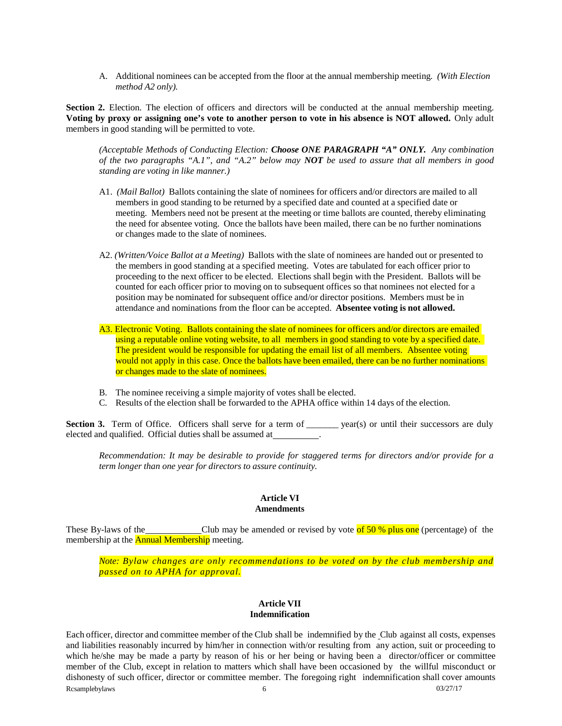A. Additional nominees can be accepted from the floor at the annual membership meeting*. (With Election method A2 only).*

**Section 2.** Election. The election of officers and directors will be conducted at the annual membership meeting. Voting by proxy or assigning one's vote to another person to vote in his absence is NOT allowed. Only adult members in good standing will be permitted to vote.

*(Acceptable Methods of Conducting Election: Choose ONE PARAGRAPH "A" ONLY. Any combination* of the two paragraphs "A.1", and "A.2" below may NOT be used to assure that all members in good *standing are voting in like manner.)*

- A1. *(Mail Ballot)* Ballots containing the slate of nominees for officers and/or directors are mailed to all members in good standing to be returned by a specified date and counted at a specified date or meeting. Members need not be present at the meeting or time ballots are counted, thereby eliminating the need for absentee voting. Once the ballots have been mailed, there can be no further nominations or changes made to the slate of nominees.
- A2. *(Written/Voice Ballot at a Meeting)* Ballots with the slate of nominees are handed out or presented to the members in good standing at a specified meeting. Votes are tabulated for each officer prior to proceeding to the next officer to be elected. Elections shall begin with the President. Ballots will be counted for each officer prior to moving on to subsequent offices so that nominees not elected for a position may be nominated for subsequent office and/or director positions. Members must be in attendance and nominations from the floor can be accepted. **Absentee voting is not allowed.**
- A3. Electronic Voting. Ballots containing the slate of nominees for officers and/or directors are emailed using a reputable online voting website, to all members in good standing to vote by a specified date. The president would be responsible for updating the email list of all members. Absentee voting would not apply in this case. Once the ballots have been emailed, there can be no further nominations or changes made to the slate of nominees.
- B. The nominee receiving a simple majority of votes shall be elected.
- C. Results of the election shall be forwarded to the APHA office within 14 days of the election.

**Section 3.** Term of Office. Officers shall serve for a term of \_\_\_\_\_\_ year(s) or until their successors are duly elected and qualified. Official duties shall be assumed at

*Recommendation: It may be desirable to provide for staggered terms for directors and/or provide for a term longer than one year for directors to assure continuity.*

#### **Article VI Amendments**

These By-laws of the Club may be amended or revised by vote of  $50\%$  plus one (percentage) of the membership at the **Annual Membership** meeting.

*Note: Bylaw changes are only recommendations to be voted on by the club membership and passed on to APHA for approval.*

#### **Article VII Indemnification**

Each officer, director and committee member of the Club shall be indemnified by the Club against all costs, expenses and liabilities reasonably incurred by him/her in connection with/or resulting from any action, suit or proceeding to which he/she may be made a party by reason of his or her being or having been a director/officer or committee member of the Club, except in relation to matters which shall have been occasioned by the willful misconduct or dishonesty of such officer, director or committee member. The foregoing right indemnification shall cover amounts  $Rcsamplebylaws$  6 03/27/17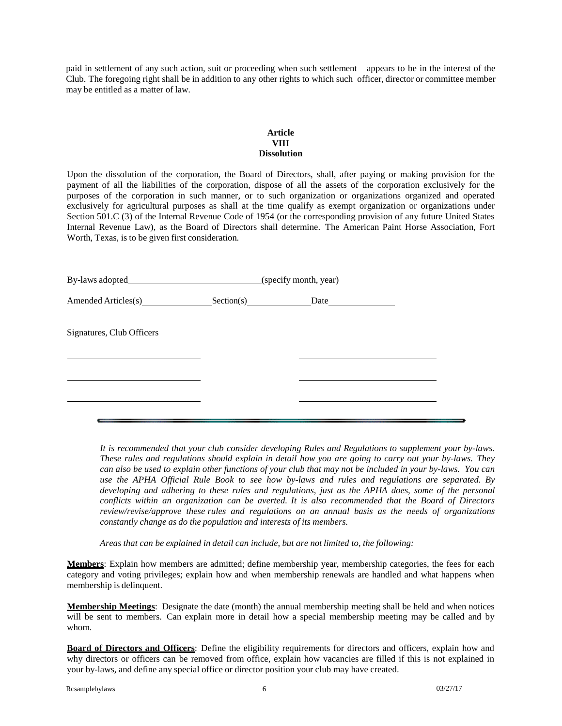paid in settlement of any such action, suit or proceeding when such settlement appears to be in the interest of the Club. The foregoing right shall be in addition to any other rights to which such officer, director or committee member may be entitled as a matter of law.

#### **Article VIII Dissolution**

Upon the dissolution of the corporation, the Board of Directors, shall, after paying or making provision for the payment of all the liabilities of the corporation, dispose of all the assets of the corporation exclusively for the purposes of the corporation in such manner, or to such organization or organizations organized and operated exclusively for agricultural purposes as shall at the time qualify as exempt organization or organizations under Section 501.C (3) of the Internal Revenue Code of 1954 (or the corresponding provision of any future United States Internal Revenue Law), as the Board of Directors shall determine. The American Paint Horse Association, Fort Worth, Texas, is to be given first consideration.

|                           | By-laws adopted (specify month, year) |  |
|---------------------------|---------------------------------------|--|
| Amended Articles(s)       | Section(s)                            |  |
| Signatures, Club Officers |                                       |  |
|                           |                                       |  |
|                           |                                       |  |

*It is recommended that your club consider developing Rules and Regulations to supplement your by-laws.* These rules and regulations should explain in detail how you are going to carry out your by-laws. They *can also be used to explain other functions of your club that may not be included in your by-laws. You can use the APHA Official Rule Book to see how by-laws and rules and regulations are separated. By developing and adhering to these rules and regulations, just as the APHA does, some of the personal conflicts within an organization can be averted. It is also recommended that the Board of Directors review/revise/approve these rules and regulations on an annual basis as the needs of organizations constantly change as do the population and interests of its members.*

*Areas that can be explained in detail can include, but are not limited to, the following:*

**Members**: Explain how members are admitted; define membership year, membership categories, the fees for each category and voting privileges; explain how and when membership renewals are handled and what happens when membership is delinquent.

**Membership Meetings**: Designate the date (month) the annual membership meeting shall be held and when notices will be sent to members. Can explain more in detail how a special membership meeting may be called and by whom.

**Board of Directors and Officers**: Define the eligibility requirements for directors and officers, explain how and why directors or officers can be removed from office, explain how vacancies are filled if this is not explained in your by-laws, and define any special office or director position your club may have created.